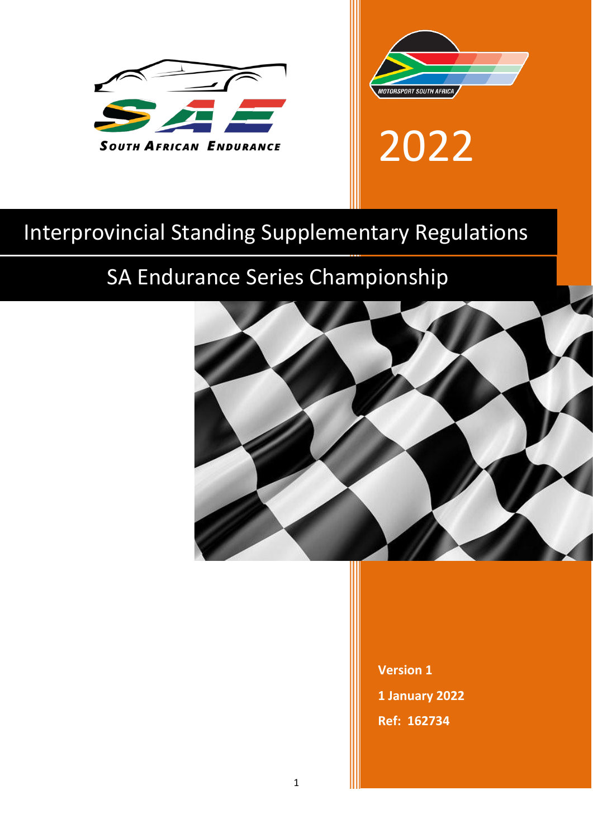



2022

# Interprovincial Standing Supplementary Regulations

# SA Endurance Series Championship



**Version 1 1 January 2022 Ref: 162734**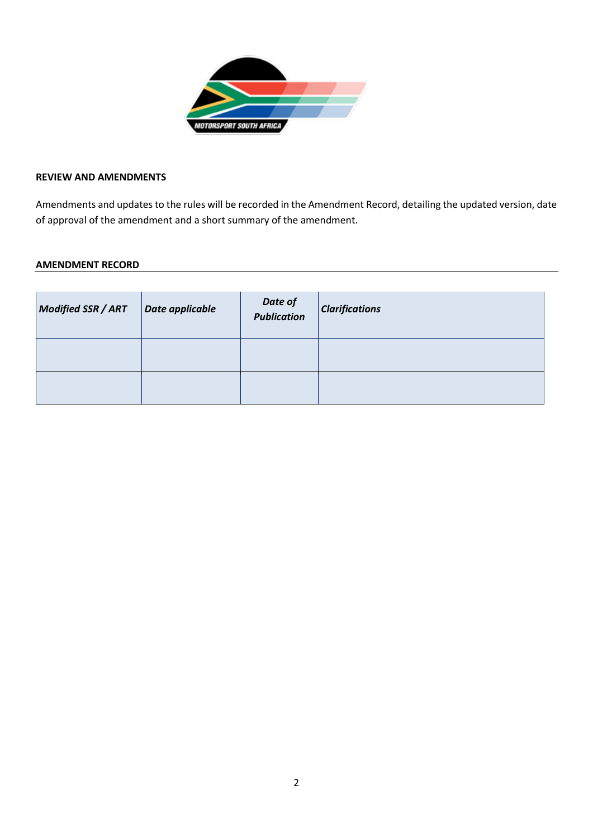

## **REVIEW AND AMENDMENTS**

Amendments and updates to the rules will be recorded in the Amendment Record, detailing the updated version, date of approval of the amendment and a short summary of the amendment.

#### **AMENDMENT RECORD**

| <b>Modified SSR / ART</b> | Date applicable | Date of<br>Publication | <i><b>Clarifications</b></i> |
|---------------------------|-----------------|------------------------|------------------------------|
|                           |                 |                        |                              |
|                           |                 |                        |                              |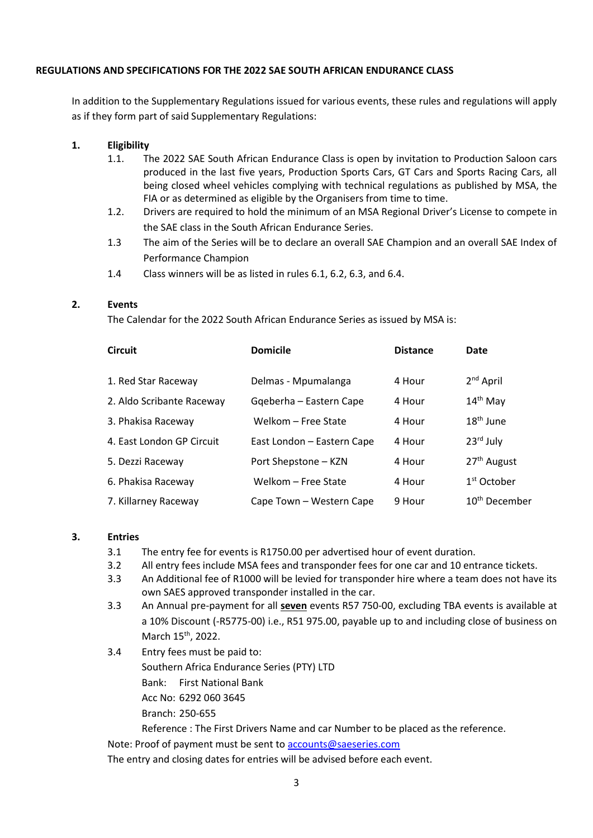#### **REGULATIONS AND SPECIFICATIONS FOR THE 2022 SAE SOUTH AFRICAN ENDURANCE CLASS**

In addition to the Supplementary Regulations issued for various events, these rules and regulations will apply as if they form part of said Supplementary Regulations:

## **1. Eligibility**

- 1.1. The 2022 SAE South African Endurance Class is open by invitation to Production Saloon cars produced in the last five years, Production Sports Cars, GT Cars and Sports Racing Cars, all being closed wheel vehicles complying with technical regulations as published by MSA, the FIA or as determined as eligible by the Organisers from time to time.
- 1.2. Drivers are required to hold the minimum of an MSA Regional Driver's License to compete in the SAE class in the South African Endurance Series.
- 1.3 The aim of the Series will be to declare an overall SAE Champion and an overall SAE Index of Performance Champion
- 1.4 Class winners will be as listed in rules 6.1, 6.2, 6.3, and 6.4.

#### **2. Events**

The Calendar for the 2022 South African Endurance Series as issued by MSA is:

| <b>Circuit</b>            | <b>Domicile</b>            | <b>Distance</b> | Date                      |
|---------------------------|----------------------------|-----------------|---------------------------|
| 1. Red Star Raceway       | Delmas - Mpumalanga        | 4 Hour          | $2nd$ April               |
| 2. Aldo Scribante Raceway | Gqeberha - Eastern Cape    | 4 Hour          | $14th$ May                |
| 3. Phakisa Raceway        | Welkom – Free State        | 4 Hour          | $18th$ June               |
| 4. East London GP Circuit | East London - Eastern Cape | 4 Hour          | $23rd$ July               |
| 5. Dezzi Raceway          | Port Shepstone - KZN       | 4 Hour          | 27 <sup>th</sup> August   |
| 6. Phakisa Raceway        | Welkom - Free State        | 4 Hour          | 1 <sup>st</sup> October   |
| 7. Killarney Raceway      | Cape Town - Western Cape   | 9 Hour          | 10 <sup>th</sup> December |

#### **3. Entries**

- 3.1 The entry fee for events is R1750.00 per advertised hour of event duration.
- 3.2 All entry fees include MSA fees and transponder fees for one car and 10 entrance tickets.
- 3.3 An Additional fee of R1000 will be levied for transponder hire where a team does not have its own SAES approved transponder installed in the car.
- 3.3 An Annual pre-payment for all **seven** events R57 750-00, excluding TBA events is available at a 10% Discount (-R5775-00) i.e., R51 975.00, payable up to and including close of business on March 15<sup>th</sup>, 2022.
- 3.4 Entry fees must be paid to:

Southern Africa Endurance Series (PTY) LTD

Bank: First National Bank

Acc No: 6292 060 3645

Branch: 250-655

Reference : The First Drivers Name and car Number to be placed as the reference.

Note: Proof of payment must be sent to [accounts@saeseries.com](mailto:accounts@saeseries.com)

The entry and closing dates for entries will be advised before each event.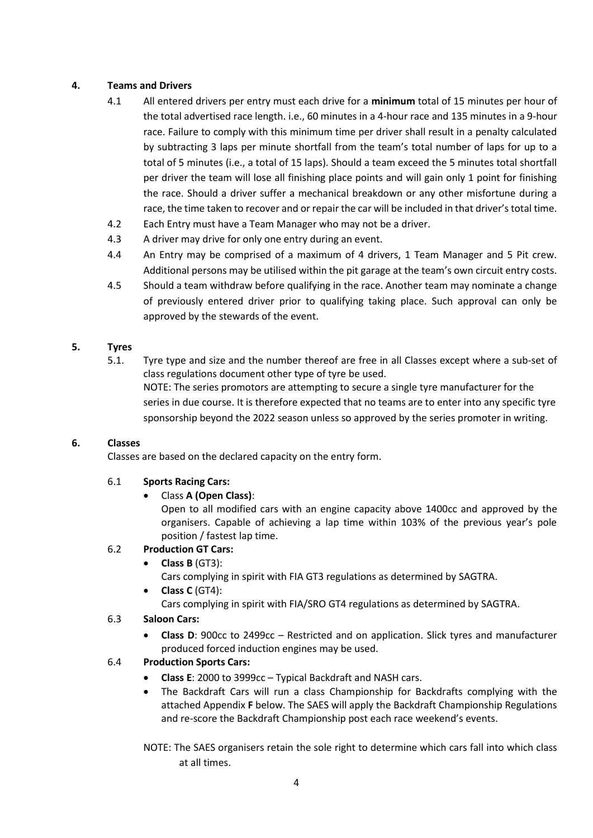## **4. Teams and Drivers**

- 4.1 All entered drivers per entry must each drive for a **minimum** total of 15 minutes per hour of the total advertised race length. i.e., 60 minutes in a 4-hour race and 135 minutes in a 9-hour race. Failure to comply with this minimum time per driver shall result in a penalty calculated by subtracting 3 laps per minute shortfall from the team's total number of laps for up to a total of 5 minutes (i.e., a total of 15 laps). Should a team exceed the 5 minutes total shortfall per driver the team will lose all finishing place points and will gain only 1 point for finishing the race. Should a driver suffer a mechanical breakdown or any other misfortune during a race, the time taken to recover and or repair the car will be included in that driver's total time.
- 4.2 Each Entry must have a Team Manager who may not be a driver.
- 4.3 A driver may drive for only one entry during an event.
- 4.4 An Entry may be comprised of a maximum of 4 drivers, 1 Team Manager and 5 Pit crew. Additional persons may be utilised within the pit garage at the team's own circuit entry costs.
- 4.5 Should a team withdraw before qualifying in the race. Another team may nominate a change of previously entered driver prior to qualifying taking place. Such approval can only be approved by the stewards of the event.

## **5. Tyres**

5.1. Tyre type and size and the number thereof are free in all Classes except where a sub-set of class regulations document other type of tyre be used. NOTE: The series promotors are attempting to secure a single tyre manufacturer for the series in due course. It is therefore expected that no teams are to enter into any specific tyre sponsorship beyond the 2022 season unless so approved by the series promoter in writing.

## **6. Classes**

Classes are based on the declared capacity on the entry form.

## 6.1 **Sports Racing Cars:**

• Class **A (Open Class)**:

Open to all modified cars with an engine capacity above 1400cc and approved by the organisers. Capable of achieving a lap time within 103% of the previous year's pole position / fastest lap time.

## 6.2 **Production GT Cars:**

- **Class B** (GT3):
	- Cars complying in spirit with FIA GT3 regulations as determined by SAGTRA.
- **Class C** (GT4): Cars complying in spirit with FIA/SRO GT4 regulations as determined by SAGTRA.

#### 6.3 **Saloon Cars:**

• **Class D**: 900cc to 2499cc – Restricted and on application. Slick tyres and manufacturer produced forced induction engines may be used.

## 6.4 **Production Sports Cars:**

- **Class E**: 2000 to 3999cc Typical Backdraft and NASH cars.
- The Backdraft Cars will run a class Championship for Backdrafts complying with the attached Appendix **F** below. The SAES will apply the Backdraft Championship Regulations and re-score the Backdraft Championship post each race weekend's events.

NOTE: The SAES organisers retain the sole right to determine which cars fall into which class at all times.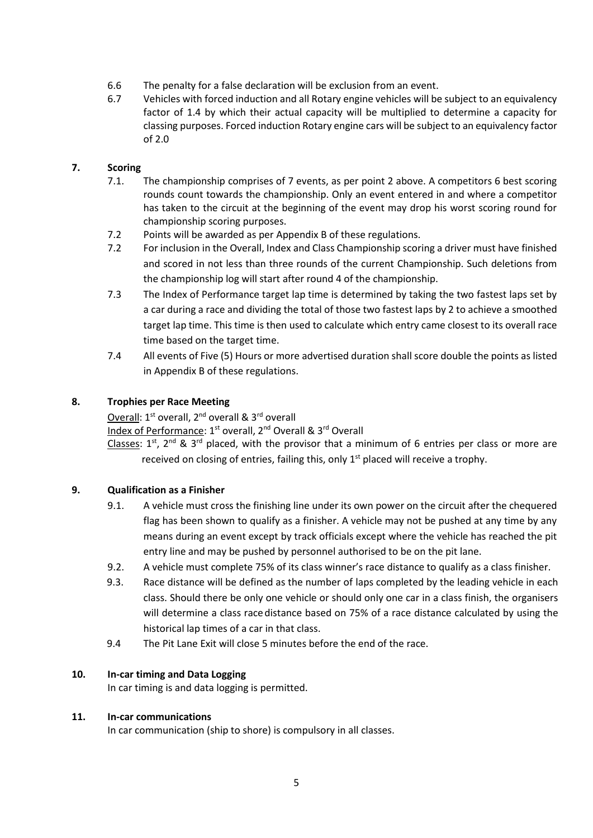- 6.6 The penalty for a false declaration will be exclusion from an event.
- 6.7 Vehicles with forced induction and all Rotary engine vehicles will be subject to an equivalency factor of 1.4 by which their actual capacity will be multiplied to determine a capacity for classing purposes. Forced induction Rotary engine cars will be subject to an equivalency factor of 2.0

## **7. Scoring**

- 7.1. The championship comprises of 7 events, as per point 2 above. A competitors 6 best scoring rounds count towards the championship. Only an event entered in and where a competitor has taken to the circuit at the beginning of the event may drop his worst scoring round for championship scoring purposes.
- 7.2 Points will be awarded as per Appendix B of these regulations.
- 7.2 For inclusion in the Overall, Index and Class Championship scoring a driver must have finished and scored in not less than three rounds of the current Championship. Such deletions from the championship log will start after round 4 of the championship.
- 7.3 The Index of Performance target lap time is determined by taking the two fastest laps set by a car during a race and dividing the total of those two fastest laps by 2 to achieve a smoothed target lap time. This time is then used to calculate which entry came closest to its overall race time based on the target time.
- 7.4 All events of Five (5) Hours or more advertised duration shall score double the points as listed in Appendix B of these regulations.

#### **8. Trophies per Race Meeting**

Overall: 1<sup>st</sup> overall, 2<sup>nd</sup> overall & 3<sup>rd</sup> overall

Index of Performance: 1<sup>st</sup> overall, 2<sup>nd</sup> Overall & 3<sup>rd</sup> Overall

Classes:  $1^{st}$ ,  $2^{nd}$  &  $3^{rd}$  placed, with the provisor that a minimum of 6 entries per class or more are received on closing of entries, failing this, only 1<sup>st</sup> placed will receive a trophy.

## **9. Qualification as a Finisher**

- 9.1. A vehicle must cross the finishing line under its own power on the circuit after the chequered flag has been shown to qualify as a finisher. A vehicle may not be pushed at any time by any means during an event except by track officials except where the vehicle has reached the pit entry line and may be pushed by personnel authorised to be on the pit lane.
- 9.2. A vehicle must complete 75% of its class winner's race distance to qualify as a class finisher.
- 9.3. Race distance will be defined as the number of laps completed by the leading vehicle in each class. Should there be only one vehicle or should only one car in a class finish, the organisers will determine a class race distance based on 75% of a race distance calculated by using the historical lap times of a car in that class.
- 9.4 The Pit Lane Exit will close 5 minutes before the end of the race.

## **10. In-car timing and Data Logging**

In car timing is and data logging is permitted.

#### **11. In-car communications**

In car communication (ship to shore) is compulsory in all classes.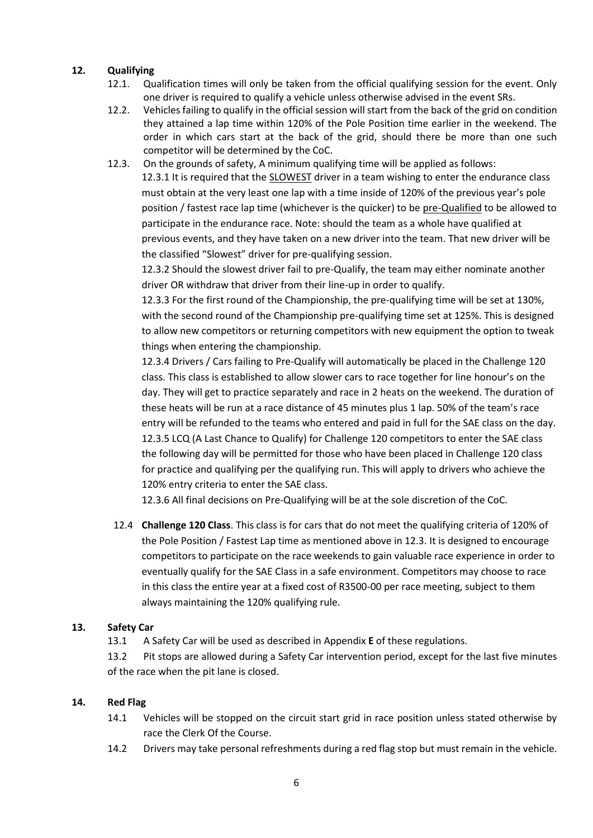## **12. Qualifying**

- 12.1. Qualification times will only be taken from the official qualifying session for the event. Only one driver is required to qualify a vehicle unless otherwise advised in the event SRs.
- 12.2. Vehicles failing to qualify in the official session will start from the back of the grid on condition they attained a lap time within 120% of the Pole Position time earlier in the weekend. The order in which cars start at the back of the grid, should there be more than one such competitor will be determined by the CoC.
- 12.3. On the grounds of safety, A minimum qualifying time will be applied as follows: 12.3.1 It is required that the SLOWEST driver in a team wishing to enter the endurance class must obtain at the very least one lap with a time inside of 120% of the previous year's pole position / fastest race lap time (whichever is the quicker) to be pre-Qualified to be allowed to participate in the endurance race. Note: should the team as a whole have qualified at previous events, and they have taken on a new driver into the team. That new driver will be the classified "Slowest" driver for pre-qualifying session.

12.3.2 Should the slowest driver fail to pre-Qualify, the team may either nominate another driver OR withdraw that driver from their line-up in order to qualify.

12.3.3 For the first round of the Championship, the pre-qualifying time will be set at 130%, with the second round of the Championship pre-qualifying time set at 125%. This is designed to allow new competitors or returning competitors with new equipment the option to tweak things when entering the championship.

12.3.4 Drivers / Cars failing to Pre-Qualify will automatically be placed in the Challenge 120 class. This class is established to allow slower cars to race together for line honour's on the day. They will get to practice separately and race in 2 heats on the weekend. The duration of these heats will be run at a race distance of 45 minutes plus 1 lap. 50% of the team's race entry will be refunded to the teams who entered and paid in full for the SAE class on the day. 12.3.5 LCQ (A Last Chance to Qualify) for Challenge 120 competitors to enter the SAE class the following day will be permitted for those who have been placed in Challenge 120 class for practice and qualifying per the qualifying run. This will apply to drivers who achieve the 120% entry criteria to enter the SAE class.

12.3.6 All final decisions on Pre-Qualifying will be at the sole discretion of the CoC.

12.4 **Challenge 120 Class**. This class is for cars that do not meet the qualifying criteria of 120% of the Pole Position / Fastest Lap time as mentioned above in 12.3. It is designed to encourage competitors to participate on the race weekends to gain valuable race experience in order to eventually qualify for the SAE Class in a safe environment. Competitors may choose to race in this class the entire year at a fixed cost of R3500-00 per race meeting, subject to them always maintaining the 120% qualifying rule.

#### **13. Safety Car**

13.1 A Safety Car will be used as described in Appendix **E** of these regulations.

13.2 Pit stops are allowed during a Safety Car intervention period, except for the last five minutes of the race when the pit lane is closed.

#### **14. Red Flag**

- 14.1 Vehicles will be stopped on the circuit start grid in race position unless stated otherwise by race the Clerk Of the Course.
- 14.2 Drivers may take personal refreshments during a red flag stop but must remain in the vehicle.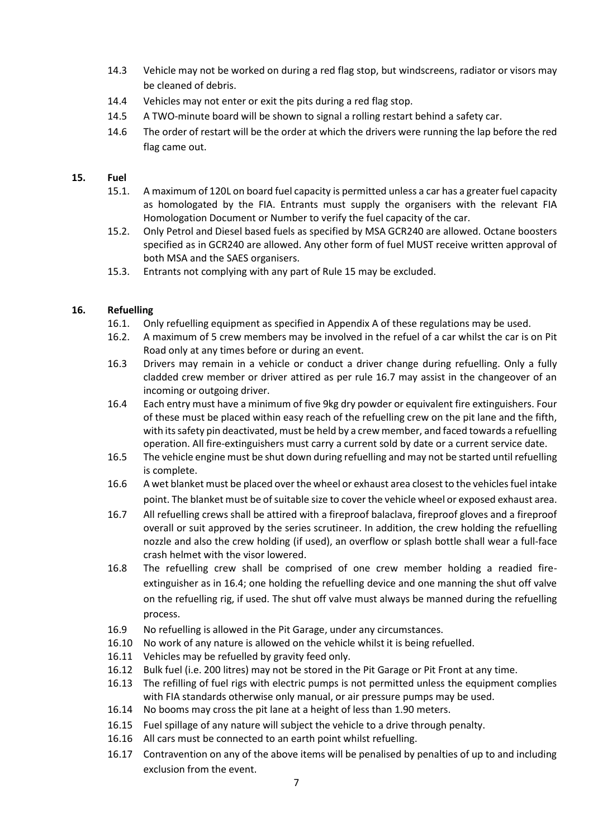- 14.3 Vehicle may not be worked on during a red flag stop, but windscreens, radiator or visors may be cleaned of debris.
- 14.4 Vehicles may not enter or exit the pits during a red flag stop.
- 14.5 A TWO-minute board will be shown to signal a rolling restart behind a safety car.
- 14.6 The order of restart will be the order at which the drivers were running the lap before the red flag came out.

#### **15. Fuel**

- 15.1. A maximum of 120L on board fuel capacity is permitted unless a car has a greater fuel capacity as homologated by the FIA. Entrants must supply the organisers with the relevant FIA Homologation Document or Number to verify the fuel capacity of the car.
- 15.2. Only Petrol and Diesel based fuels as specified by MSA GCR240 are allowed. Octane boosters specified as in GCR240 are allowed. Any other form of fuel MUST receive written approval of both MSA and the SAES organisers.
- 15.3. Entrants not complying with any part of Rule 15 may be excluded.

#### **16. Refuelling**

- 16.1. Only refuelling equipment as specified in Appendix A of these regulations may be used.
- 16.2. A maximum of 5 crew members may be involved in the refuel of a car whilst the car is on Pit Road only at any times before or during an event.
- 16.3 Drivers may remain in a vehicle or conduct a driver change during refuelling. Only a fully cladded crew member or driver attired as per rule 16.7 may assist in the changeover of an incoming or outgoing driver.
- 16.4 Each entry must have a minimum of five 9kg dry powder or equivalent fire extinguishers. Four of these must be placed within easy reach of the refuelling crew on the pit lane and the fifth, with its safety pin deactivated, must be held by a crew member, and faced towards a refuelling operation. All fire-extinguishers must carry a current sold by date or a current service date.
- 16.5 The vehicle engine must be shut down during refuelling and may not be started until refuelling is complete.
- 16.6 A wet blanket must be placed over the wheel or exhaust area closest to the vehicles fuel intake point. The blanket must be of suitable size to cover the vehicle wheel or exposed exhaust area.
- 16.7 All refuelling crews shall be attired with a fireproof balaclava, fireproof gloves and a fireproof overall or suit approved by the series scrutineer. In addition, the crew holding the refuelling nozzle and also the crew holding (if used), an overflow or splash bottle shall wear a full-face crash helmet with the visor lowered.
- 16.8 The refuelling crew shall be comprised of one crew member holding a readied fireextinguisher as in 16.4; one holding the refuelling device and one manning the shut off valve on the refuelling rig, if used. The shut off valve must always be manned during the refuelling process.
- 16.9 No refuelling is allowed in the Pit Garage, under any circumstances.
- 16.10 No work of any nature is allowed on the vehicle whilst it is being refuelled.
- 16.11 Vehicles may be refuelled by gravity feed only.
- 16.12 Bulk fuel (i.e. 200 litres) may not be stored in the Pit Garage or Pit Front at any time.
- 16.13 The refilling of fuel rigs with electric pumps is not permitted unless the equipment complies with FIA standards otherwise only manual, or air pressure pumps may be used.
- 16.14 No booms may cross the pit lane at a height of less than 1.90 meters.
- 16.15 Fuel spillage of any nature will subject the vehicle to a drive through penalty.
- 16.16 All cars must be connected to an earth point whilst refuelling.
- 16.17 Contravention on any of the above items will be penalised by penalties of up to and including exclusion from the event.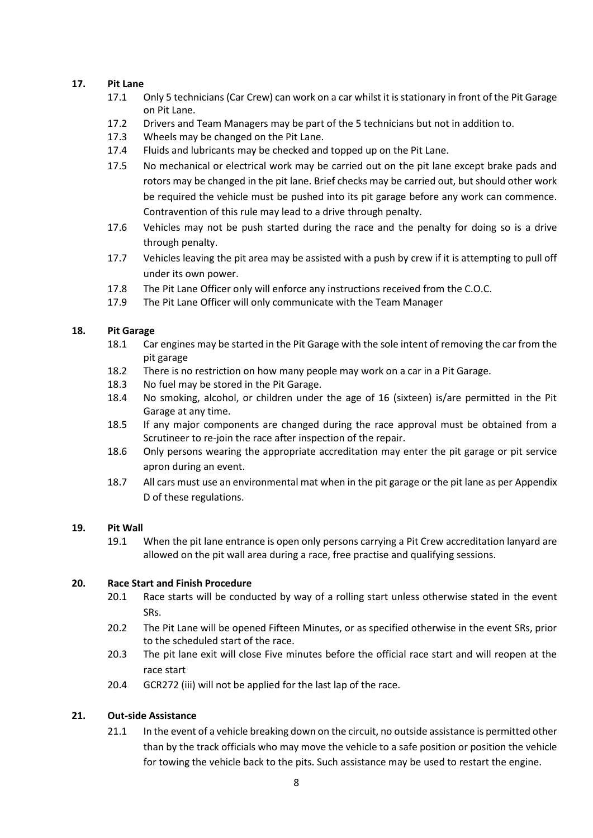#### **17. Pit Lane**

- 17.1 Only 5 technicians (Car Crew) can work on a car whilst it is stationary in front of the Pit Garage on Pit Lane.
- 17.2 Drivers and Team Managers may be part of the 5 technicians but not in addition to.
- 17.3 Wheels may be changed on the Pit Lane.
- 17.4 Fluids and lubricants may be checked and topped up on the Pit Lane.
- 17.5 No mechanical or electrical work may be carried out on the pit lane except brake pads and rotors may be changed in the pit lane. Brief checks may be carried out, but should other work be required the vehicle must be pushed into its pit garage before any work can commence. Contravention of this rule may lead to a drive through penalty.
- 17.6 Vehicles may not be push started during the race and the penalty for doing so is a drive through penalty.
- 17.7 Vehicles leaving the pit area may be assisted with a push by crew if it is attempting to pull off under its own power.
- 17.8 The Pit Lane Officer only will enforce any instructions received from the C.O.C.
- 17.9 The Pit Lane Officer will only communicate with the Team Manager

#### **18. Pit Garage**

- 18.1 Car engines may be started in the Pit Garage with the sole intent of removing the car from the pit garage
- 18.2 There is no restriction on how many people may work on a car in a Pit Garage.
- 18.3 No fuel may be stored in the Pit Garage.
- 18.4 No smoking, alcohol, or children under the age of 16 (sixteen) is/are permitted in the Pit Garage at any time.
- 18.5 If any major components are changed during the race approval must be obtained from a Scrutineer to re-join the race after inspection of the repair.
- 18.6 Only persons wearing the appropriate accreditation may enter the pit garage or pit service apron during an event.
- 18.7 All cars must use an environmental mat when in the pit garage or the pit lane as per Appendix D of these regulations.

#### **19. Pit Wall**

19.1 When the pit lane entrance is open only persons carrying a Pit Crew accreditation lanyard are allowed on the pit wall area during a race, free practise and qualifying sessions.

#### **20. Race Start and Finish Procedure**

- 20.1 Race starts will be conducted by way of a rolling start unless otherwise stated in the event SRs.
- 20.2 The Pit Lane will be opened Fifteen Minutes, or as specified otherwise in the event SRs, prior to the scheduled start of the race.
- 20.3 The pit lane exit will close Five minutes before the official race start and will reopen at the race start
- 20.4 GCR272 (iii) will not be applied for the last lap of the race.

#### **21. Out-side Assistance**

21.1 In the event of a vehicle breaking down on the circuit, no outside assistance is permitted other than by the track officials who may move the vehicle to a safe position or position the vehicle for towing the vehicle back to the pits. Such assistance may be used to restart the engine.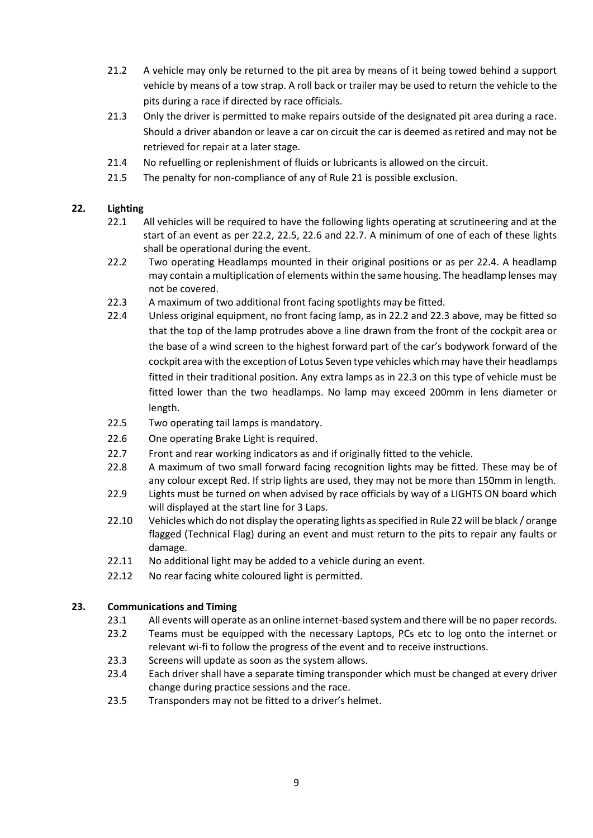- 21.2 A vehicle may only be returned to the pit area by means of it being towed behind a support vehicle by means of a tow strap. A roll back or trailer may be used to return the vehicle to the pits during a race if directed by race officials.
- 21.3 Only the driver is permitted to make repairs outside of the designated pit area during a race. Should a driver abandon or leave a car on circuit the car is deemed as retired and may not be retrieved for repair at a later stage.
- 21.4 No refuelling or replenishment of fluids or lubricants is allowed on the circuit.
- 21.5 The penalty for non-compliance of any of Rule 21 is possible exclusion.

#### **22. Lighting**

- 22.1 All vehicles will be required to have the following lights operating at scrutineering and at the start of an event as per 22.2, 22.5, 22.6 and 22.7. A minimum of one of each of these lights shall be operational during the event.
- 22.2 Two operating Headlamps mounted in their original positions or as per 22.4. A headlamp may contain a multiplication of elements within the same housing. The headlamp lenses may not be covered.
- 22.3 A maximum of two additional front facing spotlights may be fitted.
- 22.4 Unless original equipment, no front facing lamp, as in 22.2 and 22.3 above, may be fitted so that the top of the lamp protrudes above a line drawn from the front of the cockpit area or the base of a wind screen to the highest forward part of the car's bodywork forward of the cockpit area with the exception of Lotus Seven type vehicles which may have their headlamps fitted in their traditional position. Any extra lamps as in 22.3 on this type of vehicle must be fitted lower than the two headlamps. No lamp may exceed 200mm in lens diameter or length.
- 22.5 Two operating tail lamps is mandatory.
- 22.6 One operating Brake Light is required.
- 22.7 Front and rear working indicators as and if originally fitted to the vehicle.
- 22.8 A maximum of two small forward facing recognition lights may be fitted. These may be of any colour except Red. If strip lights are used, they may not be more than 150mm in length.
- 22.9 Lights must be turned on when advised by race officials by way of a LIGHTS ON board which will displayed at the start line for 3 Laps.
- 22.10 Vehicles which do not display the operating lights as specified in Rule 22 will be black / orange flagged (Technical Flag) during an event and must return to the pits to repair any faults or damage.
- 22.11 No additional light may be added to a vehicle during an event.
- 22.12 No rear facing white coloured light is permitted.

## **23. Communications and Timing**

- 23.1 All events will operate as an online internet-based system and there will be no paper records.
- 23.2 Teams must be equipped with the necessary Laptops, PCs etc to log onto the internet or relevant wi-fi to follow the progress of the event and to receive instructions.
- 23.3 Screens will update as soon as the system allows.
- 23.4 Each driver shall have a separate timing transponder which must be changed at every driver change during practice sessions and the race.
- 23.5 Transponders may not be fitted to a driver's helmet.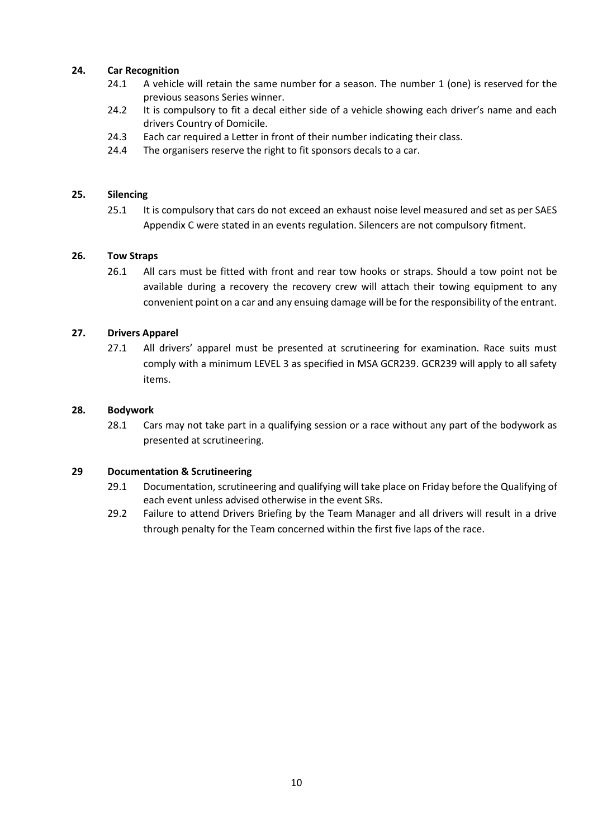## **24. Car Recognition**

- 24.1 A vehicle will retain the same number for a season. The number 1 (one) is reserved for the previous seasons Series winner.
- 24.2 It is compulsory to fit a decal either side of a vehicle showing each driver's name and each drivers Country of Domicile.
- 24.3 Each car required a Letter in front of their number indicating their class.
- 24.4 The organisers reserve the right to fit sponsors decals to a car.

#### **25. Silencing**

25.1 It is compulsory that cars do not exceed an exhaust noise level measured and set as per SAES Appendix C were stated in an events regulation. Silencers are not compulsory fitment.

#### **26. Tow Straps**

26.1 All cars must be fitted with front and rear tow hooks or straps. Should a tow point not be available during a recovery the recovery crew will attach their towing equipment to any convenient point on a car and any ensuing damage will be for the responsibility of the entrant.

#### **27. Drivers Apparel**

27.1 All drivers' apparel must be presented at scrutineering for examination. Race suits must comply with a minimum LEVEL 3 as specified in MSA GCR239. GCR239 will apply to all safety items.

#### **28. Bodywork**

28.1 Cars may not take part in a qualifying session or a race without any part of the bodywork as presented at scrutineering.

#### **29 Documentation & Scrutineering**

- 29.1 Documentation, scrutineering and qualifying will take place on Friday before the Qualifying of each event unless advised otherwise in the event SRs.
- 29.2 Failure to attend Drivers Briefing by the Team Manager and all drivers will result in a drive through penalty for the Team concerned within the first five laps of the race.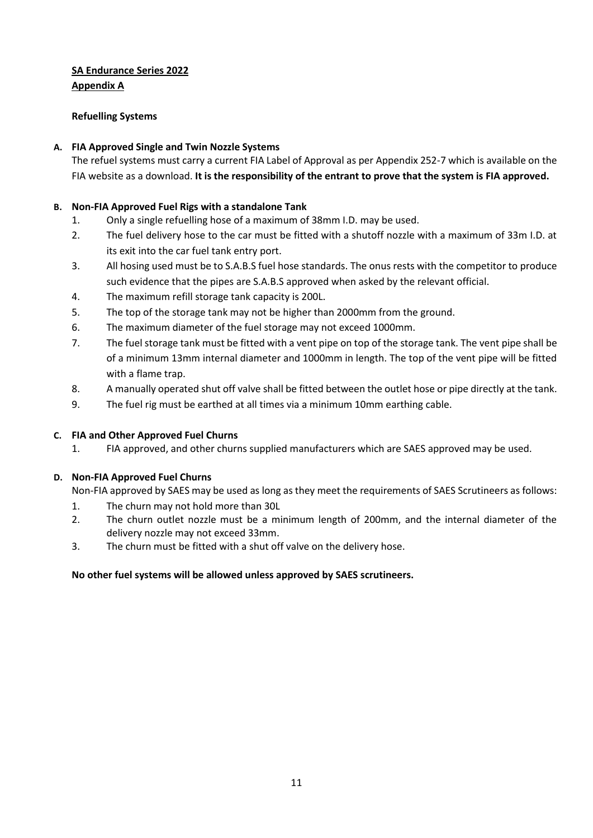# **SA Endurance Series 2022 Appendix A**

## **Refuelling Systems**

## **A. FIA Approved Single and Twin Nozzle Systems**

The refuel systems must carry a current FIA Label of Approval as per Appendix 252-7 which is available on the FIA website as a download. **It is the responsibility of the entrant to prove that the system is FIA approved.**

## **B. Non-FIA Approved Fuel Rigs with a standalone Tank**

- 1. Only a single refuelling hose of a maximum of 38mm I.D. may be used.
- 2. The fuel delivery hose to the car must be fitted with a shutoff nozzle with a maximum of 33m I.D. at its exit into the car fuel tank entry port.
- 3. All hosing used must be to S.A.B.S fuel hose standards. The onus rests with the competitor to produce such evidence that the pipes are S.A.B.S approved when asked by the relevant official.
- 4. The maximum refill storage tank capacity is 200L.
- 5. The top of the storage tank may not be higher than 2000mm from the ground.
- 6. The maximum diameter of the fuel storage may not exceed 1000mm.
- 7. The fuel storage tank must be fitted with a vent pipe on top of the storage tank. The vent pipe shall be of a minimum 13mm internal diameter and 1000mm in length. The top of the vent pipe will be fitted with a flame trap.
- 8. A manually operated shut off valve shall be fitted between the outlet hose or pipe directly at the tank.
- 9. The fuel rig must be earthed at all times via a minimum 10mm earthing cable.

## **C. FIA and Other Approved Fuel Churns**

1. FIA approved, and other churns supplied manufacturers which are SAES approved may be used.

## **D. Non-FIA Approved Fuel Churns**

Non-FIA approved by SAES may be used as long as they meet the requirements of SAES Scrutineers as follows:

- 1. The churn may not hold more than 30L
- 2. The churn outlet nozzle must be a minimum length of 200mm, and the internal diameter of the delivery nozzle may not exceed 33mm.
- 3. The churn must be fitted with a shut off valve on the delivery hose.

## **No other fuel systems will be allowed unless approved by SAES scrutineers.**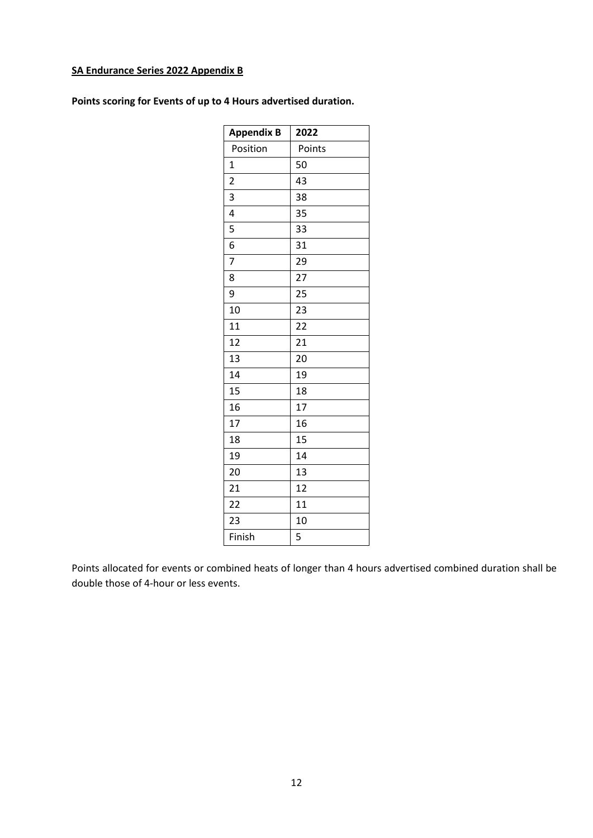# **SA Endurance Series 2022 Appendix B**

| <b>Appendix B</b>       | 2022   |
|-------------------------|--------|
| Position                | Points |
| $\overline{1}$          | 50     |
| $\overline{\mathbf{c}}$ | 43     |
| 3                       | 38     |
| 4                       | 35     |
| 5                       | 33     |
| 6                       | 31     |
| 7                       | 29     |
| 8                       | 27     |
| 9                       | 25     |
| 10                      | 23     |
| 11                      | 22     |
| 12                      | 21     |
| 13                      | 20     |
| 14                      | 19     |
| 15                      | 18     |
| 16                      | 17     |
| 17                      | 16     |
| 18                      | 15     |
| 19                      | 14     |
| 20                      | 13     |
| 21                      | 12     |
| 22                      | 11     |
| 23                      | 10     |
| Finish                  | 5      |
|                         |        |

**Points scoring for Events of up to 4 Hours advertised duration.**

Points allocated for events or combined heats of longer than 4 hours advertised combined duration shall be double those of 4-hour or less events.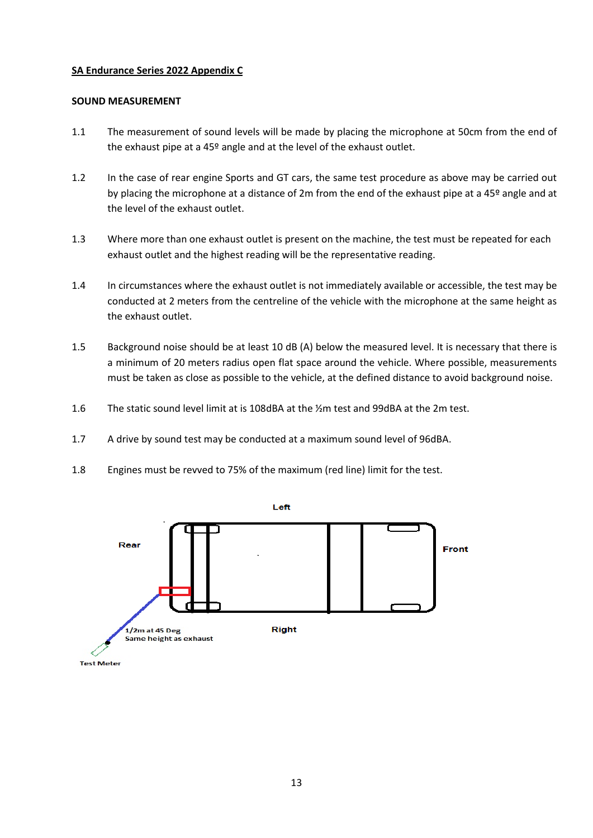## **SA Endurance Series 2022 Appendix C**

#### **SOUND MEASUREMENT**

- 1.1 The measurement of sound levels will be made by placing the microphone at 50cm from the end of the exhaust pipe at a 45º angle and at the level of the exhaust outlet.
- 1.2 In the case of rear engine Sports and GT cars, the same test procedure as above may be carried out by placing the microphone at a distance of 2m from the end of the exhaust pipe at a 45º angle and at the level of the exhaust outlet.
- 1.3 Where more than one exhaust outlet is present on the machine, the test must be repeated for each exhaust outlet and the highest reading will be the representative reading.
- 1.4 In circumstances where the exhaust outlet is not immediately available or accessible, the test may be conducted at 2 meters from the centreline of the vehicle with the microphone at the same height as the exhaust outlet.
- 1.5 Background noise should be at least 10 dB (A) below the measured level. It is necessary that there is a minimum of 20 meters radius open flat space around the vehicle. Where possible, measurements must be taken as close as possible to the vehicle, at the defined distance to avoid background noise.
- 1.6 The static sound level limit at is 108dBA at the ½m test and 99dBA at the 2m test.
- 1.7 A drive by sound test may be conducted at a maximum sound level of 96dBA.
- 1.8 Engines must be revved to 75% of the maximum (red line) limit for the test.

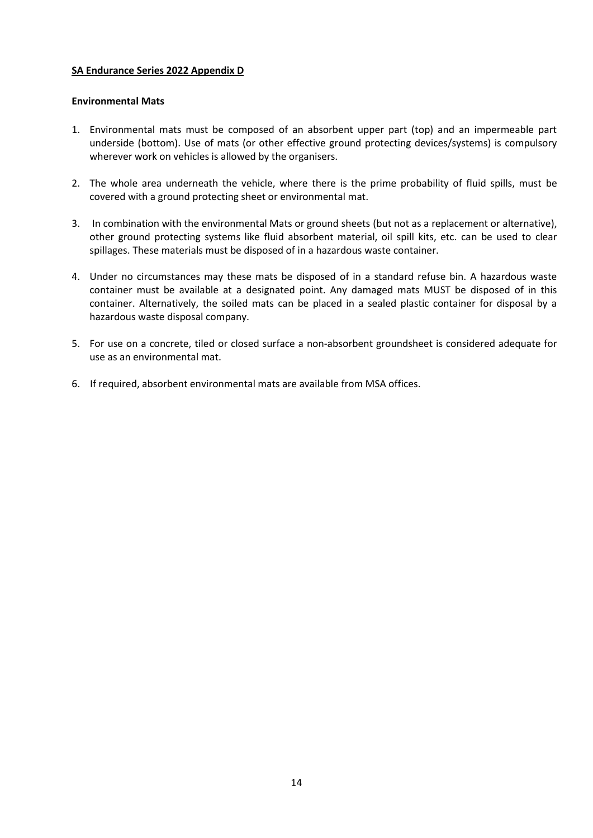## **SA Endurance Series 2022 Appendix D**

#### **Environmental Mats**

- 1. Environmental mats must be composed of an absorbent upper part (top) and an impermeable part underside (bottom). Use of mats (or other effective ground protecting devices/systems) is compulsory wherever work on vehicles is allowed by the organisers.
- 2. The whole area underneath the vehicle, where there is the prime probability of fluid spills, must be covered with a ground protecting sheet or environmental mat.
- 3. In combination with the environmental Mats or ground sheets (but not as a replacement or alternative), other ground protecting systems like fluid absorbent material, oil spill kits, etc. can be used to clear spillages. These materials must be disposed of in a hazardous waste container.
- 4. Under no circumstances may these mats be disposed of in a standard refuse bin. A hazardous waste container must be available at a designated point. Any damaged mats MUST be disposed of in this container. Alternatively, the soiled mats can be placed in a sealed plastic container for disposal by a hazardous waste disposal company.
- 5. For use on a concrete, tiled or closed surface a non-absorbent groundsheet is considered adequate for use as an environmental mat.
- 6. If required, absorbent environmental mats are available from MSA offices.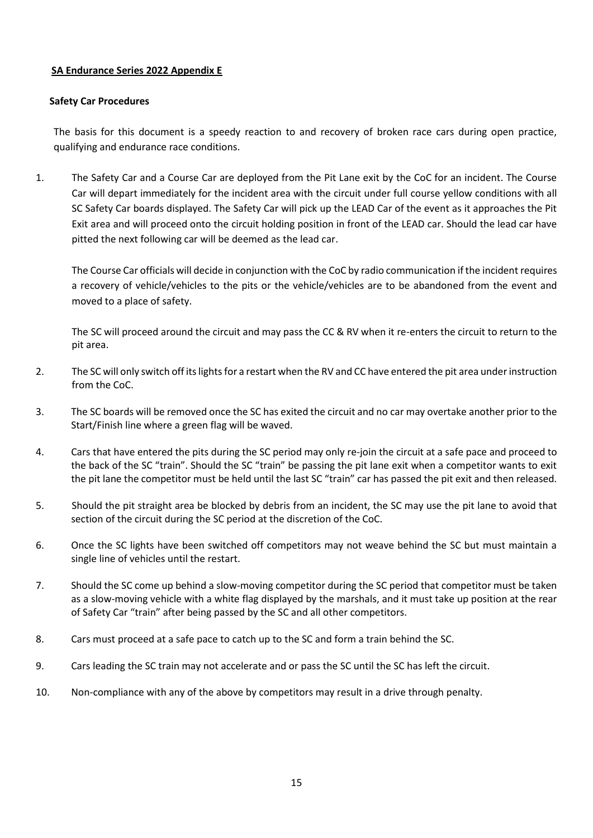## **SA Endurance Series 2022 Appendix E**

#### **Safety Car Procedures**

The basis for this document is a speedy reaction to and recovery of broken race cars during open practice, qualifying and endurance race conditions.

1. The Safety Car and a Course Car are deployed from the Pit Lane exit by the CoC for an incident. The Course Car will depart immediately for the incident area with the circuit under full course yellow conditions with all SC Safety Car boards displayed. The Safety Car will pick up the LEAD Car of the event as it approaches the Pit Exit area and will proceed onto the circuit holding position in front of the LEAD car. Should the lead car have pitted the next following car will be deemed as the lead car.

The Course Car officials will decide in conjunction with the CoC by radio communication if the incident requires a recovery of vehicle/vehicles to the pits or the vehicle/vehicles are to be abandoned from the event and moved to a place of safety.

The SC will proceed around the circuit and may pass the CC & RV when it re-enters the circuit to return to the pit area.

- 2. The SC will only switch off its lights for a restart when the RV and CC have entered the pit area under instruction from the CoC.
- 3. The SC boards will be removed once the SC has exited the circuit and no car may overtake another prior to the Start/Finish line where a green flag will be waved.
- 4. Cars that have entered the pits during the SC period may only re-join the circuit at a safe pace and proceed to the back of the SC "train". Should the SC "train" be passing the pit lane exit when a competitor wants to exit the pit lane the competitor must be held until the last SC "train" car has passed the pit exit and then released.
- 5. Should the pit straight area be blocked by debris from an incident, the SC may use the pit lane to avoid that section of the circuit during the SC period at the discretion of the CoC.
- 6. Once the SC lights have been switched off competitors may not weave behind the SC but must maintain a single line of vehicles until the restart.
- 7. Should the SC come up behind a slow-moving competitor during the SC period that competitor must be taken as a slow-moving vehicle with a white flag displayed by the marshals, and it must take up position at the rear of Safety Car "train" after being passed by the SC and all other competitors.
- 8. Cars must proceed at a safe pace to catch up to the SC and form a train behind the SC.
- 9. Cars leading the SC train may not accelerate and or pass the SC until the SC has left the circuit.
- 10. Non-compliance with any of the above by competitors may result in a drive through penalty.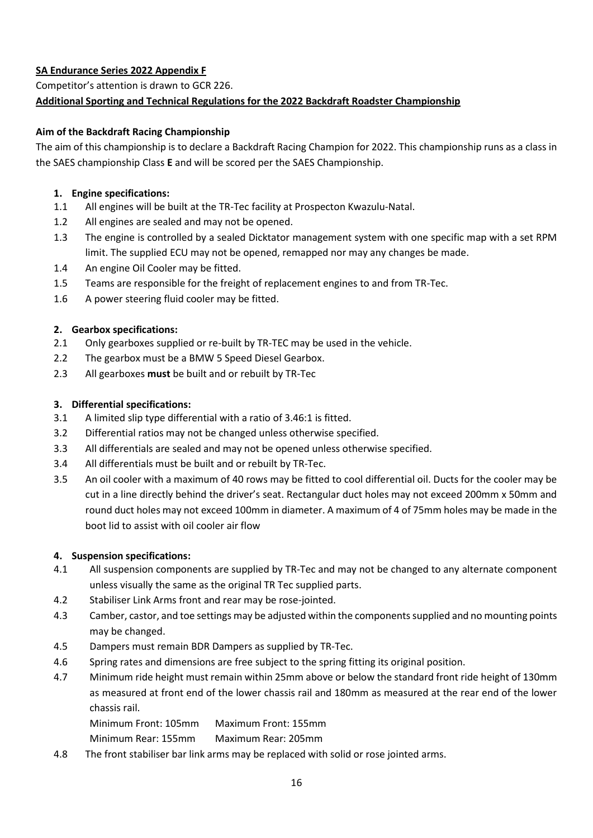# **SA Endurance Series 2022 Appendix F** Competitor's attention is drawn to GCR 226.

# **Additional Sporting and Technical Regulations for the 2022 Backdraft Roadster Championship**

# **Aim of the Backdraft Racing Championship**

The aim of this championship is to declare a Backdraft Racing Champion for 2022. This championship runs as a class in the SAES championship Class **E** and will be scored per the SAES Championship.

# **1. Engine specifications:**

- 1.1 All engines will be built at the TR-Tec facility at Prospecton Kwazulu-Natal.
- 1.2 All engines are sealed and may not be opened.
- 1.3 The engine is controlled by a sealed Dicktator management system with one specific map with a set RPM limit. The supplied ECU may not be opened, remapped nor may any changes be made.
- 1.4 An engine Oil Cooler may be fitted.
- 1.5 Teams are responsible for the freight of replacement engines to and from TR-Tec.
- 1.6 A power steering fluid cooler may be fitted.

# **2. Gearbox specifications:**

- 2.1 Only gearboxes supplied or re-built by TR-TEC may be used in the vehicle.
- 2.2 The gearbox must be a BMW 5 Speed Diesel Gearbox.
- 2.3 All gearboxes **must** be built and or rebuilt by TR-Tec

# **3. Differential specifications:**

- 3.1 A limited slip type differential with a ratio of 3.46:1 is fitted.
- 3.2 Differential ratios may not be changed unless otherwise specified.
- 3.3 All differentials are sealed and may not be opened unless otherwise specified.
- 3.4 All differentials must be built and or rebuilt by TR-Tec.
- 3.5 An oil cooler with a maximum of 40 rows may be fitted to cool differential oil. Ducts for the cooler may be cut in a line directly behind the driver's seat. Rectangular duct holes may not exceed 200mm x 50mm and round duct holes may not exceed 100mm in diameter. A maximum of 4 of 75mm holes may be made in the boot lid to assist with oil cooler air flow

# **4. Suspension specifications:**

- 4.1 All suspension components are supplied by TR-Tec and may not be changed to any alternate component unless visually the same as the original TR Tec supplied parts.
- 4.2 Stabiliser Link Arms front and rear may be rose-jointed.
- 4.3 Camber, castor, and toe settings may be adjusted within the components supplied and no mounting points may be changed.
- 4.5 Dampers must remain BDR Dampers as supplied by TR-Tec.
- 4.6 Spring rates and dimensions are free subject to the spring fitting its original position.
- 4.7 Minimum ride height must remain within 25mm above or below the standard front ride height of 130mm as measured at front end of the lower chassis rail and 180mm as measured at the rear end of the lower chassis rail.

Minimum Front: 105mm Maximum Front: 155mm

Minimum Rear: 155mm Maximum Rear: 205mm

4.8 The front stabiliser bar link arms may be replaced with solid or rose jointed arms.